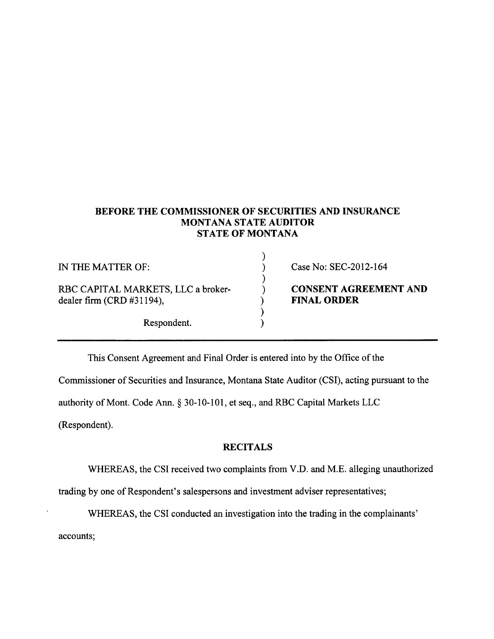## BEFORE THE COMMISSIONER OF SECURITIES AND INSURANCE MONTANA STATE AUDITOR STATE OF MONTANA

| IN THE MATTER OF:                                               | Case No: SEC-2012-164                              |
|-----------------------------------------------------------------|----------------------------------------------------|
| RBC CAPITAL MARKETS, LLC a broker-<br>dealer firm (CRD #31194), | <b>CONSENT AGREEMENT AND</b><br><b>FINAL ORDER</b> |
| Respondent.                                                     |                                                    |

This Consent Agreement and Final Order is entered into by the Office of the

Commissioner of Securities and Insurance, Montana State Auditor (CSD, acting pursuant to the

authority of Mont. Code Ann. \$ 30-10-101, et seq., and RBC Capital Markets LLC

(Respondent).

## **RECITALS**

WHEREAS, the CSI received two complaints from V.D. and M.E. alleging unauthorized

trading by one of Respondent's salespersons and investment adviser representatives;

WHEREAS, the CSI conducted an investigation into the trading in the complainants'

accounts: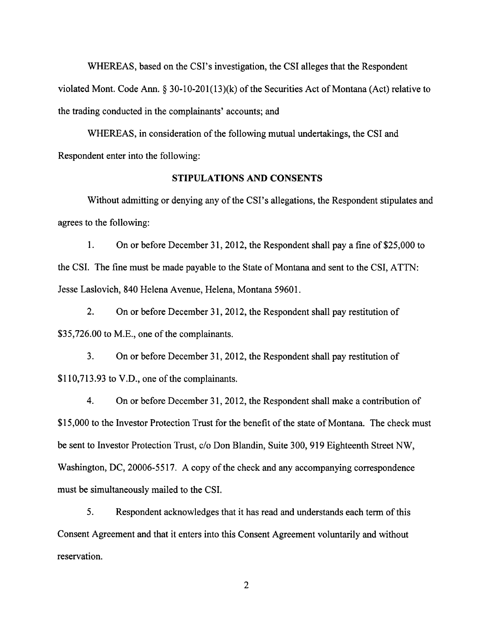WHEREAS, based on the CSI's investigation, the CSI alleges that the Respondent violated Mont. Code Ann. \$ 30-10-201(13)(k) of the Securities Act of Montana (Act) relative to the trading conducted in the complainants' accounts; and

WHEREAS, in consideration of the following mutual undertakings, the CSI and Respondent enter into the following:

## STIPULATIONS AND CONSENTS

Without admitting or denying any of the CSI's allegations, the Respondent stipulates and agrees to the following:

L On or before December 3I,2012, the Respondent shall pay a fine of \$25,000 to the CSI. The fine must be made payable to the State of Montana and sent to the CSI, ATTN: Jesse Laslovich, 840 Helena Avenue, Helena, Montana 59601.

2. On or before December 31,2012, the Respondent shall pay restitution of \$35,726.00 to M.E., one of the complainants.

3. On or before December 3I,2012, the Respondent shall pay restitution of \$110,713.93 to V.D., one of the complainants.

4. On or before December 31,2012, the Respondent shall make a contribution of \$15,000 to the Investor Protection Trust for the benefit of the state of Montana. The check must be sent to Investor Protection Trust, c/o Don Blandin, Suite 300, 919 Eighteenth Street NW, Washington, DC, 20006-5517. A copy of the check and any accompanying correspondence must be simultaneously mailed to the CSI.

5. Respondent acknowledges that it has read and understands each term of this Consent Agreement and that it enters into this Consent Agreement voluntarily and without reservation.

 $\overline{c}$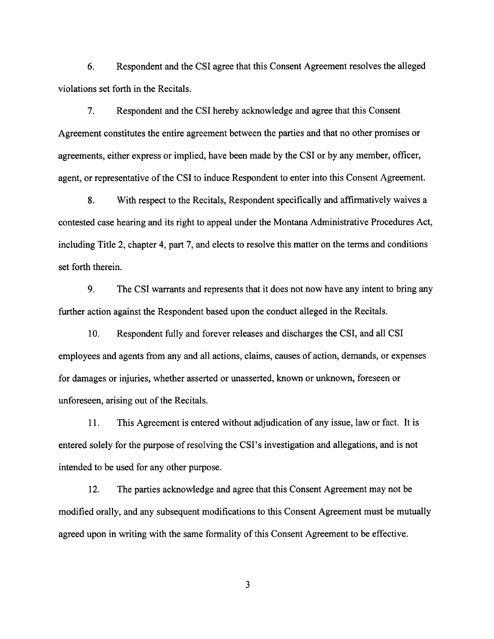6. Respondent and the CSI agree that this Consent Agreement resolves the alleged violations set forth in the Recitals.

7. Respondent and the CSI hereby acknowledge and agree that this Consent Agreement constitutes the entire agreement between the parties and that no other promises or agreements, either express or implied, have been made by the CSI or by any member, officer, agent, or representative of the CSI to induce Respondent to enter into this Consent Agreement.

8. With respect to the Recitals, Respondent specifically and affirmatively waives <sup>a</sup> contested case hearing and its right to appeal under the Montana Administrative Procedures Act, including Title 2, chapter 4, part 7, and elects to resolve this matter on the terms and conditions set forth therein.

9. The CSI warrants and represents that it does not now have any intent to bring any further action against the Respondent based upon the conduct alleged in the Recitals.

10. Respondent fully and forever releases and discharges the CSI, and all CSI employees and agents from any and all actions, claims, causes of action, demands, or expenses for damages or injuries, whether asserted or unasserted, known or unknown, foreseen or unforeseen, arising out of the Recitals.

<sup>I</sup>1. This Agreement is entered without adjudication of any issue, law or fact. It is entered solely for the purpose of resolving the CSI's investigation and allegations, and is not intended to be used for any other purpose.

12. The parties acknowledge and agree that this Consent Agreement may not be modified orally, and any subsequent modifications to this Consent Agreement must be mutually agreed upon in writing with the same formality of this Consent Agreement to be effective.

3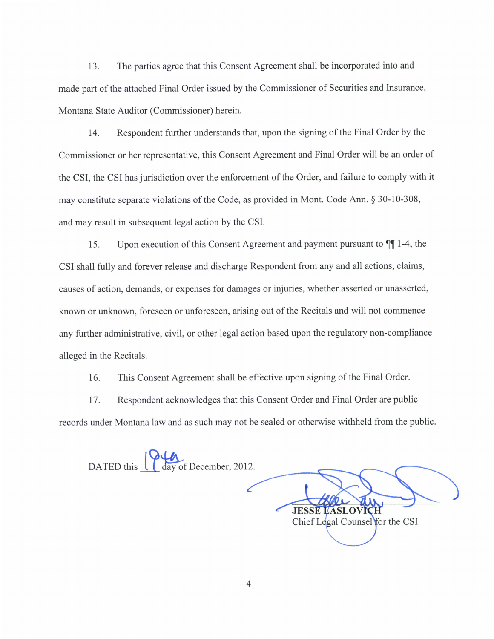13. The parties agree that this Consent Agreement shall be incorporated into and made part of the attached Final Order issued by the Commissioner of Securities and Insurance, Montana State Auditor (Commissioner) herein.

14. Respondent further understands that, upon the signing of the Final Order by the Commissioner or her representative, this Consent Agreement and Final Order will be an order of the CSI, the CSI has jurisdiction over the enforcement of the Order, and failure to comply with it may constitute separate violations of the Code, as provided in Mont. Code Ann. \$ 30-10-308, and may result in subsequent legal action by the CSI.

15. Upon execution of this Consent Agreement and payment pursuant to  $\P$ [1-4, the CSI shall fully and forever release and discharge Respondent from any and all actions, claims, causes of action, demands, or expenses for damages or injuries, whether asserted or unasserted, known or unknown, foreseen or unforeseen, arising out of the Recitals and will not commence any further administrative, civil, or other legal action based upon the regulatory non-compliance alleged in the Recitals.

16. This Consent Agreement shall be effective upon signing of the Final Order.

17. Respondent acknowledges that this Consent Order and Final Order are public records under Montana law and as such may not be sealed or otherwise withheld from the public.

DATED this <u>day</u> of December, 2012.

∕ **JESSE LASLOVICH** Chief Legal Counsel for the CSI

4